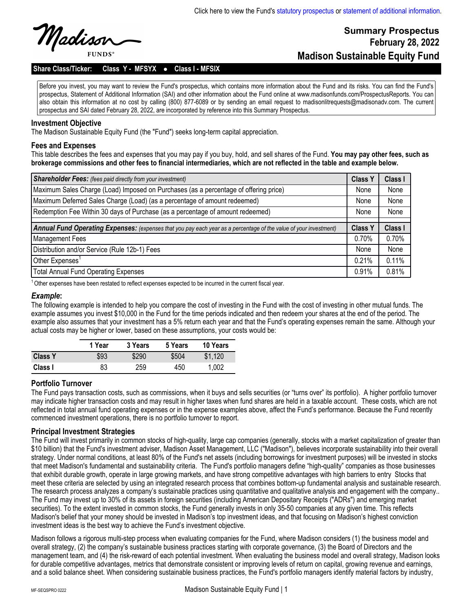**Summary Prospectus**

**Madison Sustainable Equity Fund**

**February 28, 2022**

Madisor

## Share Class/Ticker: Class Y - MFSYX . Class I - MFSIX

Before you invest, you may want to review the Fund's prospectus, which contains more information about the Fund and its risks. You can find the Fund's prospectus, Statement of Additional Information (SAI) and other information about the Fund online at www.madisonfunds.com/ProspectusReports. You can also obtain this information at no cost by calling (800) 877-6089 or by sending an email request to madisonlitrequests@madisonadv.com. The current prospectus and SAI dated February 28, 2022, are incorporated by reference into this Summary Prospectus.

### **Investment Objective**

The Madison Sustainable Equity Fund (the "Fund") seeks long-term capital appreciation.

### **Fees and Expenses**

This table describes the fees and expenses that you may pay if you buy, hold, and sell shares of the Fund. **You may pay other fees, such as brokerage commissions and other fees to financial intermediaries, which are not reflected in the table and example below.**

| <b>Shareholder Fees:</b> (fees paid directly from your investment)                                                | <b>Class Y</b> | Class I |
|-------------------------------------------------------------------------------------------------------------------|----------------|---------|
| Maximum Sales Charge (Load) Imposed on Purchases (as a percentage of offering price)                              | None           | None    |
| Maximum Deferred Sales Charge (Load) (as a percentage of amount redeemed)                                         | None           | None    |
| Redemption Fee Within 30 days of Purchase (as a percentage of amount redeemed)                                    | None           | None    |
|                                                                                                                   |                |         |
| Annual Fund Operating Expenses: (expenses that you pay each year as a percentage of the value of your investment) |                | Class I |
| Management Fees                                                                                                   |                | 0.70%   |
| Distribution and/or Service (Rule 12b-1) Fees                                                                     |                | None    |
| Other Expenses <sup>1</sup>                                                                                       |                | 0.11%   |
| <b>Total Annual Fund Operating Expenses</b>                                                                       | 0.91%          | 0.81%   |

<sup>1</sup>Other expenses have been restated to reflect expenses expected to be incurred in the current fiscal year.

#### *Example***:**

The following example is intended to help you compare the cost of investing in the Fund with the cost of investing in other mutual funds. The example assumes you invest \$10,000 in the Fund for the time periods indicated and then redeem your shares at the end of the period. The example also assumes that your investment has a 5% return each year and that the Fund's operating expenses remain the same. Although your actual costs may be higher or lower, based on these assumptions, your costs would be:

|                | 1 Year | 3 Years | 5 Years | 10 Years |
|----------------|--------|---------|---------|----------|
| <b>Class Y</b> | \$93   | \$290   | \$504   | \$1,120  |
| Class I        | 83     | 259     | 450     | 1.002    |

## **Portfolio Turnover**

The Fund pays transaction costs, such as commissions, when it buys and sells securities (or "turns over" its portfolio). A higher portfolio turnover may indicate higher transaction costs and may result in higher taxes when fund shares are held in a taxable account. These costs, which are not reflected in total annual fund operating expenses or in the expense examples above, affect the Fund's performance. Because the Fund recently commenced investment operations, there is no portfolio turnover to report.

#### **Principal Investment Strategies**

The Fund will invest primarily in common stocks of high-quality, large cap companies (generally, stocks with a market capitalization of greater than \$10 billion) that the Fund's investment adviser, Madison Asset Management, LLC ("Madison"), believes incorporate sustainability into their overall strategy. Under normal conditions, at least 80% of the Fund's net assets (including borrowings for investment purposes) will be invested in stocks that meet Madison's fundamental and sustainability criteria. The Fund's portfolio managers define "high-quality" companies as those businesses that exhibit durable growth, operate in large growing markets, and have strong competitive advantages with high barriers to entry Stocks that meet these criteria are selected by using an integrated research process that combines bottom-up fundamental analysis and sustainable research. The research process analyzes a company's sustainable practices using quantitative and qualitative analysis and engagement with the company.. The Fund may invest up to 30% of its assets in foreign securities (including American Depositary Receipts ("ADRs") and emerging market securities). To the extent invested in common stocks, the Fund generally invests in only 35-50 companies at any given time. This reflects Madison's belief that your money should be invested in Madison's top investment ideas, and that focusing on Madison's highest conviction investment ideas is the best way to achieve the Fund's investment objective.

Madison follows a rigorous multi-step process when evaluating companies for the Fund, where Madison considers (1) the business model and overall strategy, (2) the company's sustainable business practices starting with corporate governance, (3) the Board of Directors and the management team, and (4) the risk-reward of each potential investment. When evaluating the business model and overall strategy, Madison looks for durable competitive advantages, metrics that demonstrate consistent or improving levels of return on capital, growing revenue and earnings, and a solid balance sheet. When considering sustainable business practices, the Fund's portfolio managers identify material factors by industry,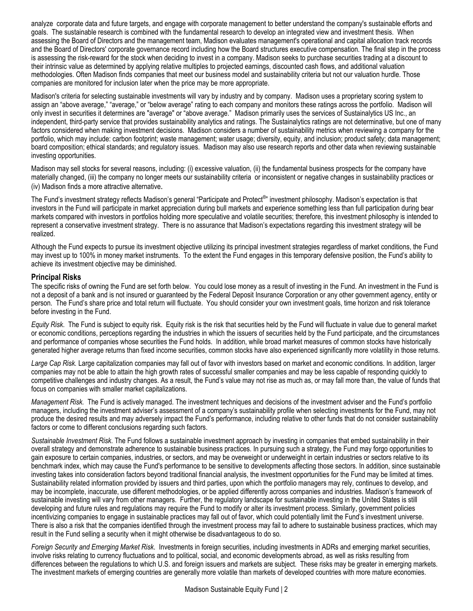analyze corporate data and future targets, and engage with corporate management to better understand the company's sustainable efforts and goals. The sustainable research is combined with the fundamental research to develop an integrated view and investment thesis. When assessing the Board of Directors and the management team, Madison evaluates management's operational and capital allocation track records and the Board of Directors' corporate governance record including how the Board structures executive compensation. The final step in the process is assessing the risk-reward for the stock when deciding to invest in a company. Madison seeks to purchase securities trading at a discount to their intrinsic value as determined by applying relative multiples to projected earnings, discounted cash flows, and additional valuation methodologies. Often Madison finds companies that meet our business model and sustainability criteria but not our valuation hurdle. Those companies are monitored for inclusion later when the price may be more appropriate.

Madison's criteria for selecting sustainable investments will vary by industry and by company. Madison uses a proprietary scoring system to assign an "above average," "average," or "below average" rating to each company and monitors these ratings across the portfolio. Madison will only invest in securities it determines are "average" or "above average." Madison primarily uses the services of Sustainalytics US Inc., an independent, third-party service that provides sustainability analytics and ratings. The Sustainalytics ratings are not determinative, but one of many factors considered when making investment decisions. Madison considers a number of sustainability metrics when reviewing a company for the portfolio, which may include: carbon footprint; waste management; water usage; diversity, equity, and inclusion; product safety; data management; board composition; ethical standards; and regulatory issues. Madison may also use research reports and other data when reviewing sustainable investing opportunities.

Madison may sell stocks for several reasons, including: (i) excessive valuation, (ii) the fundamental business prospects for the company have materially changed, (iii) the company no longer meets our sustainability criteria or inconsistent or negative changes in sustainability practices or (iv) Madison finds a more attractive alternative.

The Fund's investment strategy reflects Madison's general "Participate and Protect<sup>®</sup>" investment philosophy. Madison's expectation is that investors in the Fund will participate in market appreciation during bull markets and experience something less than full participation during bear markets compared with investors in portfolios holding more speculative and volatile securities; therefore, this investment philosophy is intended to represent a conservative investment strategy. There is no assurance that Madison's expectations regarding this investment strategy will be realized.

Although the Fund expects to pursue its investment objective utilizing its principal investment strategies regardless of market conditions, the Fund may invest up to 100% in money market instruments. To the extent the Fund engages in this temporary defensive position, the Fund's ability to achieve its investment objective may be diminished.

## **Principal Risks**

The specific risks of owning the Fund are set forth below. You could lose money as a result of investing in the Fund. An investment in the Fund is not a deposit of a bank and is not insured or guaranteed by the Federal Deposit Insurance Corporation or any other government agency, entity or person. The Fund's share price and total return will fluctuate. You should consider your own investment goals, time horizon and risk tolerance before investing in the Fund.

*Equity Risk*. The Fund is subject to equity risk. Equity risk is the risk that securities held by the Fund will fluctuate in value due to general market or economic conditions, perceptions regarding the industries in which the issuers of securities held by the Fund participate, and the circumstances and performance of companies whose securities the Fund holds. In addition, while broad market measures of common stocks have historically generated higher average returns than fixed income securities, common stocks have also experienced significantly more volatility in those returns.

*Large Cap Risk.* Large capitalization companies may fall out of favor with investors based on market and economic conditions. In addition, larger companies may not be able to attain the high growth rates of successful smaller companies and may be less capable of responding quickly to competitive challenges and industry changes. As a result, the Fund's value may not rise as much as, or may fall more than, the value of funds that focus on companies with smaller market capitalizations.

*Management Risk.* The Fund is actively managed. The investment techniques and decisions of the investment adviser and the Fund's portfolio managers, including the investment adviser's assessment of a company's sustainability profile when selecting investments for the Fund, may not produce the desired results and may adversely impact the Fund's performance, including relative to other funds that do not consider sustainability factors or come to different conclusions regarding such factors.

*Sustainable Investment Risk*. The Fund follows a sustainable investment approach by investing in companies that embed sustainability in their overall strategy and demonstrate adherence to sustainable business practices. In pursuing such a strategy, the Fund may forgo opportunities to gain exposure to certain companies, industries, or sectors, and may be overweight or underweight in certain industries or sectors relative to its benchmark index, which may cause the Fund's performance to be sensitive to developments affecting those sectors. In addition, since sustainable investing takes into consideration factors beyond traditional financial analysis, the investment opportunities for the Fund may be limited at times. Sustainability related information provided by issuers and third parties, upon which the portfolio managers may rely, continues to develop, and may be incomplete, inaccurate, use different methodologies, or be applied differently across companies and industries. Madison's framework of sustainable investing will vary from other managers. Further, the regulatory landscape for sustainable investing in the United States is still developing and future rules and regulations may require the Fund to modify or alter its investment process. Similarly, government policies incentivizing companies to engage in sustainable practices may fall out of favor, which could potentially limit the Fund's investment universe. There is also a risk that the companies identified through the investment process may fail to adhere to sustainable business practices, which may result in the Fund selling a security when it might otherwise be disadvantageous to do so.

*Foreign Security and Emerging Market Risk*. Investments in foreign securities, including investments in ADRs and emerging market securities, involve risks relating to currency fluctuations and to political, social, and economic developments abroad, as well as risks resulting from differences between the regulations to which U.S. and foreign issuers and markets are subject. These risks may be greater in emerging markets. The investment markets of emerging countries are generally more volatile than markets of developed countries with more mature economies.